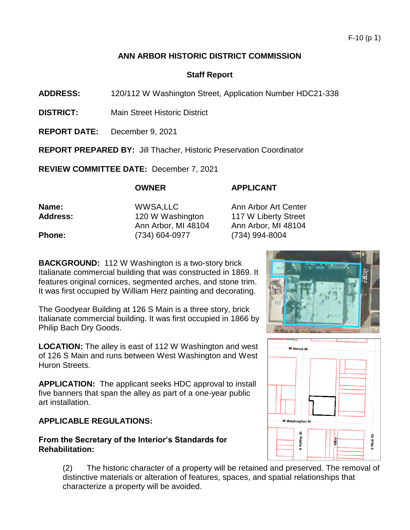## **ANN ARBOR HISTORIC DISTRICT COMMISSION**

## **Staff Report**

**ADDRESS:** 120/112 W Washington Street, Application Number HDC21-338

- **DISTRICT:** Main Street Historic District
- **REPORT DATE:** December 9, 2021

**REPORT PREPARED BY:** Jill Thacher, Historic Preservation Coordinator

**REVIEW COMMITTEE DATE:** December 7, 2021

# **OWNER APPLICANT**

| Name:           | WWSA, LLC           | Ann Arbor Art Center |
|-----------------|---------------------|----------------------|
| <b>Address:</b> | 120 W Washington    | 117 W Liberty Street |
|                 | Ann Arbor, MI 48104 | Ann Arbor, MI 48104  |
| <b>Phone:</b>   | (734) 604-0977      | (734) 994-8004       |
|                 |                     |                      |

**BACKGROUND:** 112 W Washington is a two-story brick Italianate commercial building that was constructed in 1869. It features original cornices, segmented arches, and stone trim. It was first occupied by William Herz painting and decorating.

The Goodyear Building at 126 S Main is a three story, brick Italianate commercial building. It was first occupied in 1866 by Philip Bach Dry Goods.

**LOCATION:** The alley is east of 112 W Washington and west of 126 S Main and runs between West Washington and West Huron Streets.

**APPLICATION:** The applicant seeks HDC approval to install five banners that span the alley as part of a one-year public art installation.

## **APPLICABLE REGULATIONS:**

## **From the Secretary of the Interior's Standards for Rehabilitation:**

(2) The historic character of a property will be retained and preserved. The removal of distinctive materials or alteration of features, spaces, and spatial relationships that characterize a property will be avoided.



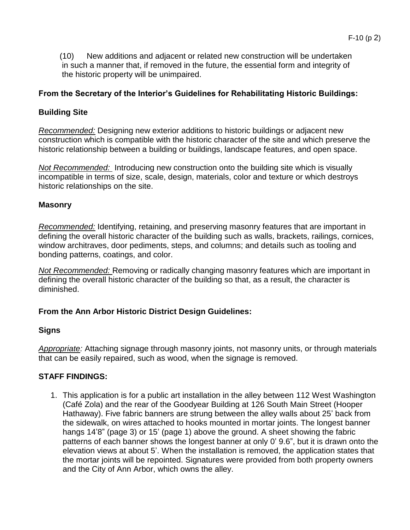(10) New additions and adjacent or related new construction will be undertaken in such a manner that, if removed in the future, the essential form and integrity of the historic property will be unimpaired.

# **From the Secretary of the Interior's Guidelines for Rehabilitating Historic Buildings:**

## **Building Site**

*Recommended:* Designing new exterior additions to historic buildings or adjacent new construction which is compatible with the historic character of the site and which preserve the historic relationship between a building or buildings, landscape features, and open space.

*Not Recommended:* Introducing new construction onto the building site which is visually incompatible in terms of size, scale, design, materials, color and texture or which destroys historic relationships on the site.

## **Masonry**

*Recommended:* Identifying, retaining, and preserving masonry features that are important in defining the overall historic character of the building such as walls, brackets, railings, cornices, window architraves, door pediments, steps, and columns; and details such as tooling and bonding patterns, coatings, and color.

*Not Recommended:* Removing or radically changing masonry features which are important in defining the overall historic character of the building so that, as a result, the character is diminished.

## **From the Ann Arbor Historic District Design Guidelines:**

## **Signs**

*Appropriate:* Attaching signage through masonry joints, not masonry units, or through materials that can be easily repaired, such as wood, when the signage is removed.

## **STAFF FINDINGS:**

1. This application is for a public art installation in the alley between 112 West Washington (Café Zola) and the rear of the Goodyear Building at 126 South Main Street (Hooper Hathaway). Five fabric banners are strung between the alley walls about 25' back from the sidewalk, on wires attached to hooks mounted in mortar joints. The longest banner hangs 14'8" (page 3) or 15' (page 1) above the ground. A sheet showing the fabric patterns of each banner shows the longest banner at only 0' 9.6", but it is drawn onto the elevation views at about 5'. When the installation is removed, the application states that the mortar joints will be repointed. Signatures were provided from both property owners and the City of Ann Arbor, which owns the alley.